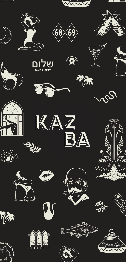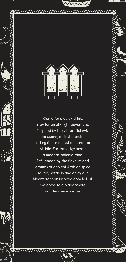

5 6 6

Come for a quick drink, stay for an all-night adventure. Inspired by the vibrant Tel Aviv bar scene, amidst a soulful setting rich in eclectic character, Middle-Eastern edge meets a modern-colonial vibe. Influenced by the flavours and aromas of ancient Arabian spice routes, settle in and enjoy our Mediterranean inspired cocktail list. Welcome to a place where wonders never cease.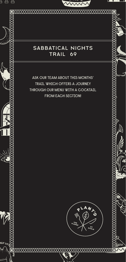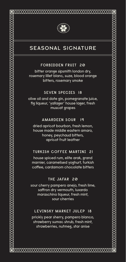

# SEASONAL SIGNATURE

### **FORBIDDEN FRUIT 20**

bitter orange sipsmith london dry, rosemary lillet blanc, suze, blood orange bitters, rosemary smoke

### **SEVEN SPECIES 18**

olive oil and date gin, pomegranate juice, fig liqueur, 'yallager' house lager, fresh muscat grapes

### **AMARDEEN SOUR 19**

dried apricot bourbon, fresh lemon, house made middle eastern amaro, honey, peychaud bitters, apricot fruit leather

### **TURKISH COFFEE MARTINI 21**

house spiced rum, elite arak, grand marnier, caramelised yoghurt, turkish coffee, cardamom chocolate bitters

### **THE JAFAR 20**

sour cherry pampero anejo, fresh lime, saffron dry vermouth, luxardo maraschino liqueur, fresh mint, sour cherries

### **LEVINSKY MARKET JULEP 18**

prickly pear sherry, pampero blanco, strawberry sumac shrub, fresh mint, strawberries, nutmeg, star anise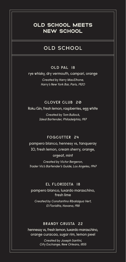# OLD SCHOOL MEETS **NEW SCHOOL**

# OLD SCHOOL

### **OLD PAL 18**

rye whisky, dry vermouth, campari, orange

Created by Harry MacElhone, Harry's New York Bar, Paris, 1920

### **CLOVER CLUB 20**

Roku Gin, fresh lemon, raspberries, egg white

Created by Tom Bullock, Ideal Bartender, Philadelphia, 1917

#### **FOGCUTTER 24**

pampero blanco, hennesy vs, tanqueray IO, fresh lemon, cream sherry, orange, orgeat, mint

Created by Victor Bergeron, Trader Vic's Bartender's Guide, Los Angeles, 1947

### **EL FLORIDITA 18**

pampero blanco, luxardo maraschino, fresh lime

Created by Constantino Ribalaigua Vert, El Floridita, Havana, 1918

#### **BRANDY CRUSTA 22**

hennessy vs, fresh lemon, luxardo maraschino, orange curacao, sugar rim, lemon peel

> Created by Joseph Santini, City Exchange, New Orleans, 1855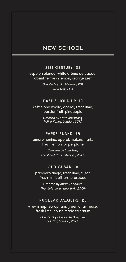# NEW SCHOOL

### **21ST CENTURY 22**

espolon blanco, white crème de cacao, absinthe, fresh lemon, orange zest

> Created by Jim Meehan, PDT, New York, 2011

### **EAST 8 HOLD UP 19**

kettle one vodka, aperol, fresh lime, passionfruit, pineapple

> Created by Kevin Armstrong, Milk & Honey, London, 2010

### **PAPER PLANE 24**

amaro nonino, aperol, makers mark, fresh lemon, paperplane

> Created by Sam Ross, The Violet Hour, Chicago, 2007

### **OLD CUBAN 18**

pampero anejo, fresh lime, sugar, fresh mint, bitters, prosecco

Created by Audrey Sanders, The Violet Hour, New York, 2004

#### **NUCLEAR DAIQUIRI 25**

wrey n nephew op rum, green chartreuse, fresh lime, house made falernum

> Created by Gregor de Gruyther, Lab Bar, London, 2005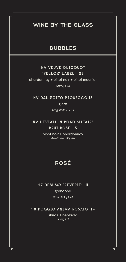# WINE BY THE GLASS

 $\mathbb{Z}$ 

ठे

### BUBBLES

### **NV VEUVE CLICQUOT 'YELLOW LABEL' 25** chardonnay + pinot noir + pinot meunier

Reims, FRA

**NV DAL ZOTTO PROSECCO 13**

glera King Valley, VIC

### **NV DEVIATION ROAD 'ALTAIR' BRUT ROSE 15**

pinot noir + chardonnay Adelaide Hills, SA

# ROSÉ

**'17 DEBUSSY 'REVERIE' 11**

grenache

Pays d'Oc, FRA

### **'18 POGGIO ANIMA ROSATO 14**

shiraz + nebbiolo Sicily, ITA

Ъր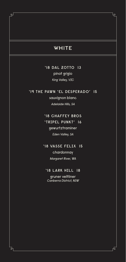## **WHITE**

 $\mathbb{Z}$ 

 $\exists$ 

**'18 DAL ZOTTO 13** pinot grigio King Valley, VIC

### **'19 THE PAWN 'EL DESPERADO' 15**

sauvignon blanc Adelaide Hills, SA

### **'18 CHAFFEY BROS 'TRIPEL PUNKT' 16**

### gewurtztraminer Eden Valley, SA

### **'18 VASSE FELIX 15**

chardonnay Margaret River, WA

### **'18 LARK HILL 18**

gruner veltliner Canberra District, NSW լե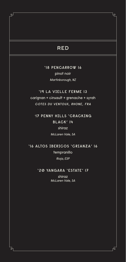# RED

 $\mathbb{Z}$ 

ठे

**'18 PENCARROW 16** pinot noir Martinborough, NZ

# **'19 LA VIELLE FERME 13**

carignan + cinsault + grenache + syrah **COTES DU VENTOUX, RHONE, FRA**

**'17 PENNY HILLS 'CRACKING BLACK' 14**

> shiraz McLaren Vale, SA

**'16 ALTOS IBERICOS 'CRIANZA' 16** tempranillo Rioja, ESP

**'20 YANGARA 'ESTATE' 17**

shiraz McLaren Vale, SA

市

Ъր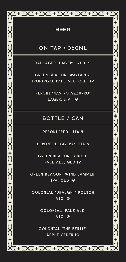|             | +DC+DC+DC+DC+                              |
|-------------|--------------------------------------------|
|             |                                            |
|             | <b>BEER</b>                                |
|             | <b>ON TAP / 360ML</b>                      |
|             | YALLAGER 'LAGER', QLD 9                    |
|             | <b>GREEN BEACON 'WAYFARER'</b>             |
|             | TROPIPCAL PALE ALE, QLD 10                 |
|             | PERONI 'NASTRO AZZURRO'                    |
| Ո<br>Լ      | LAGER, ITA 10                              |
|             |                                            |
|             | <b>BOTTLE / CAN</b>                        |
|             | PERONI 'RED', ITA 9                        |
|             | PERONI 'LEGGERA', ITA 8                    |
|             | <b>GREEN BEACON '3 BOLT'</b>               |
| Ր<br> -<br> | PALE ALE, QLD 10                           |
|             | GREEN BEACON 'WIND JAMMER'                 |
| Ո<br>Լ      | IPA, QLD 10                                |
|             |                                            |
|             | COLONIAL 'DRAUGHT' KOLSCH<br><b>VIC 10</b> |
|             |                                            |
|             | COLONIAL 'PALE ALE'                        |
|             | <b>VIC 10</b>                              |
|             | <b>COLONIAL 'THE BERTIE'</b>               |
|             | <b>APPLE CIDER 10</b>                      |
|             |                                            |
|             | 1241X1242X12X11                            |

# BEER

# ON TAP / 360ML

## BOTTLE / CAN

T+DC+DC+D+D+DC+DC+DC+DC+DC+DC+DC+D